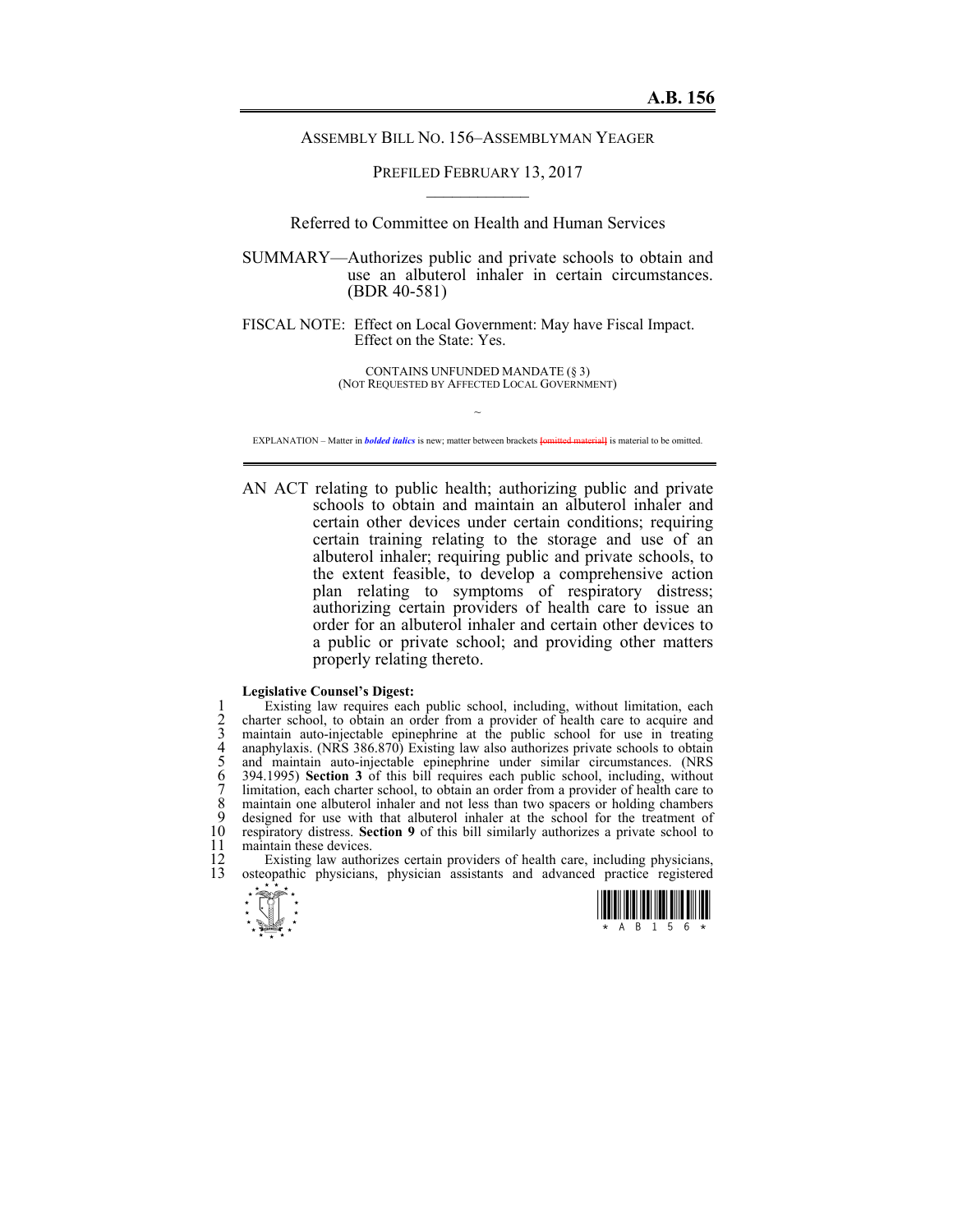## ASSEMBLY BILL NO. 156–ASSEMBLYMAN YEAGER

PREFILED FEBRUARY 13, 2017  $\mathcal{L}_\text{max}$ 

Referred to Committee on Health and Human Services

SUMMARY—Authorizes public and private schools to obtain and use an albuterol inhaler in certain circumstances. (BDR 40-581)

FISCAL NOTE: Effect on Local Government: May have Fiscal Impact. Effect on the State: Yes.

> CONTAINS UNFUNDED MANDATE (§ 3) (NOT REQUESTED BY AFFECTED LOCAL GOVERNMENT)

 $\sim$ EXPLANATION – Matter in *bolded italics* is new; matter between brackets **[**omitted material**]** is material to be omitted.

AN ACT relating to public health; authorizing public and private schools to obtain and maintain an albuterol inhaler and certain other devices under certain conditions; requiring certain training relating to the storage and use of an albuterol inhaler; requiring public and private schools, to the extent feasible, to develop a comprehensive action plan relating to symptoms of respiratory distress; authorizing certain providers of health care to issue an order for an albuterol inhaler and certain other devices to a public or private school; and providing other matters properly relating thereto.

## **Legislative Counsel's Digest:**

1 Existing law requires each public school, including, without limitation, each<br>2 charter school, to obtain an order from a provider of health care to acquire and<br>3 maintain auto-injectable epinephrine at the public school charter school, to obtain an order from a provider of health care to acquire and 3 maintain auto-injectable epinephrine at the public school for use in treating anaphylaxis. (NRS 386.870) Existing law also authorizes private schools to obtain 5 and maintain auto-injectable epinephrine under similar cir anaphylaxis. (NRS 386.870) Existing law also authorizes private schools to obtain 5 and maintain auto-injectable epinephrine under similar circumstances. (NRS 6 394.1995) **Section 3** of this bill requires each public school, including, without limitation, each charter school, to obtain an order from a provider of health care to 8 maintain one albuterol inhaler and not less than two spacers or holding chambers<br>9 designed for use with that albuterol inhaler at the school for the treatment of 9 designed for use with that albuterol inhaler at the school for the treatment of 10 respiratory distress. **Section 9** of this bill similarly authorizes a private school to 10 respiratory distress. **Section 9** of this bill similarly authorizes a private school to 11 maintain these devices.<br>12 Existing law author

12 Existing law authorizes certain providers of health care, including physicians, 13 osteopathic physicians physician assistants and advanced practice registered osteopathic physicians, physician assistants and advanced practice registered



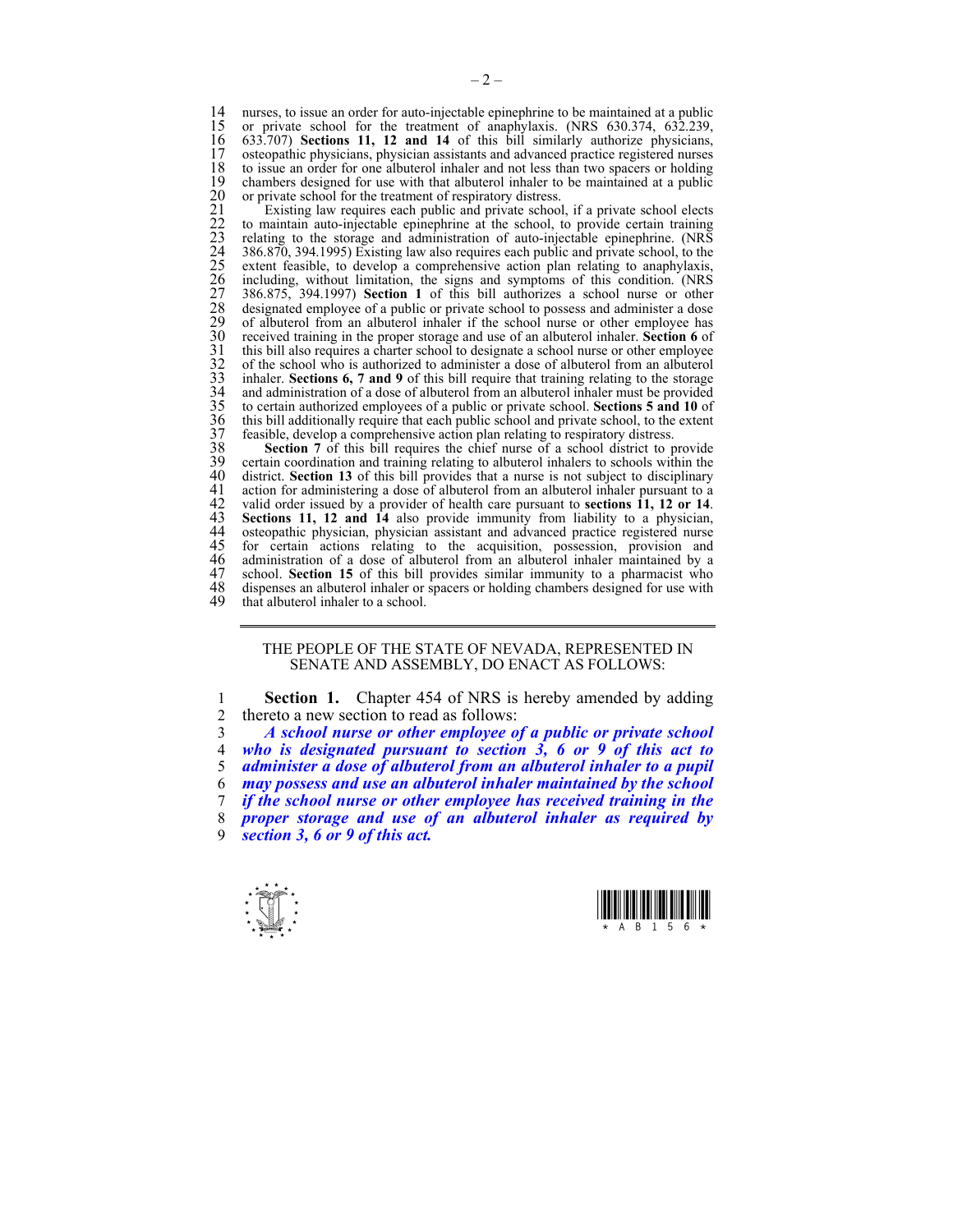14 nurses, to issue an order for auto-injectable epinephrine to be maintained at a public 15 or private school for the treatment of anaphylaxis. (NRS 630.374, 632.239, 15 or private school for the treatment of anaphylaxis. (NRS 630.374, 632.239, 16 633.707) Sections 11, 12 and 14 of this bill similarly authorize physicians. 16 633.707) **Sections 11, 12 and 14** of this bill similarly authorize physicians, 17 osteopathic physicians, physician assistants and advanced practice registered nurses 18 to issue an order for one albuterol inhaler and not less than two spacers or holding 18 to issue an order for one albuterol inhaler and not less than two spacers or holding<br>19 chambers designed for use with that albuterol inhaler to be maintained at a public or private school for the treatment of respiratory distress.

20 chambers designed for use with that albuterol inhaler to be maintained at a public<br>
20 or private school for the treatment of respiratory distress.<br>
21 Existing law requires each public and private school, if a private Existing law requires each public and private school, if a private school elects 22 to maintain auto-injectable epinephrine at the school, to provide certain training 23 relating to the storage and administration of auto-injectable epinephrine. (NRS 24 386.870, 394.1995) Existing law also requires each public and private school, to the extent feasible, to develop a comprehensive action plan relating to anaphylaxis, including, without limitation, the signs and symptoms of this condition. (NRS 27 386.875, 394.1997) **Section 1** of this bill authorizes a school nurse or other designated employee of a public or private school to possess and administer a dose of albuterol from an albuterol inhaler if the school nurse or other employee has 30 received training in the proper storage and use of an albuterol inhaler. **Section 6** of this bill also requires a charter school to designate a school nurse or other employee of the school who is authorized to administe this bill also requires a charter school to designate a school nurse or other employee 32 of the school who is authorized to administer a dose of albuterol from an albuterol inhaler. **Sections 6, 7 and 9** of this bill require that training relating to the storage and administration of a dose of albuterol from an albuterol inhaler must be provided 35 to certain authorized employees of a public or private school. **Sections 5 and 10** of this bill additionally require that each public school and private school, to the extent feasible, develop a comprehensive action plan relating to respiratory distress.

38 **Section 7** of this bill requires the chief nurse of a school district to provide 39 certain coordination and training relating to albuterol inhalers to schools within the 40 district. Section 13 of this bill provides that a nurse is not subject to disciplinary 40 district. **Section 13** of this bill provides that a nurse is not subject to disciplinary 41 action for administering a dose of albuterol from an albuterol inhaler pursuant to a<br>42 valid order issued by a provider of health care pursuant to **sections 11. 12 or 14**. 42 valid order issued by a provider of health care pursuant to **sections 11, 12 or 14**. 43 **Sections 11, 12 and 14** also provide immunity from liability to a physician, 44 osteopathic physician, physician assistant and advanced practice registered nurse 44 osteopathic physician, physician assistant and advanced practice registered nurse<br>45 for certain actions relating to the acquisition, possession, provision and 45 for certain actions relating to the acquisition, possession, provision and 46 administration of a dose of albuterol from an albuterol inhaler maintained by a 47 school. **Section 15** of this bill provides similar immunity to a pharmacist who 47 school. **Section 15** of this bill provides similar immunity to a pharmacist who 48 dispenses an albuterol inhaler or spacers or holding chambers designed for use with 49 that albuterol inhaler to a school that albuterol inhaler to a school.

## THE PEOPLE OF THE STATE OF NEVADA, REPRESENTED IN SENATE AND ASSEMBLY, DO ENACT AS FOLLOWS:

1 **Section 1.** Chapter 454 of NRS is hereby amended by adding 2 thereto a new section to read as follows:

3 *A school nurse or other employee of a public or private school* 

4 *who is designated pursuant to section 3, 6 or 9 of this act to* 

5 *administer a dose of albuterol from an albuterol inhaler to a pupil* 

6 *may possess and use an albuterol inhaler maintained by the school*  7 *if the school nurse or other employee has received training in the* 

8 *proper storage and use of an albuterol inhaler as required by* 

9 *section 3, 6 or 9 of this act.* 



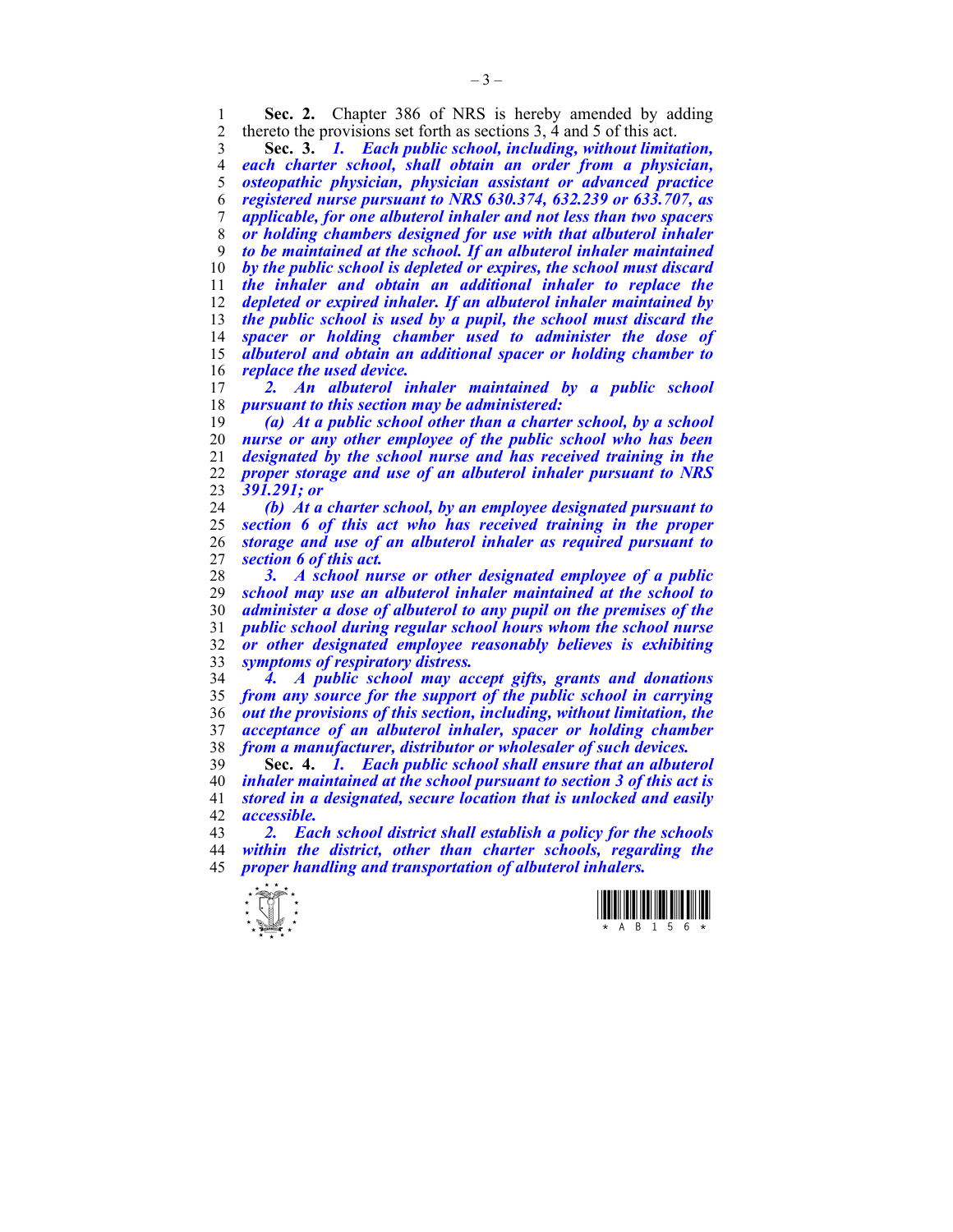1 **Sec. 2.** Chapter 386 of NRS is hereby amended by adding thereto the provisions set forth as sections 3 4 and 5 of this act thereto the provisions set forth as sections ,  $\overline{4}$  and  $\overline{5}$  of this act.

**Sec. 3.** *1. Each public school, including, without limitation, each charter school, shall obtain an order from a physician, osteopathic physician, physician assistant or advanced practice registered nurse pursuant to NRS 630.374, 632.239 or 633.707, as applicable, for one albuterol inhaler and not less than two spacers or holding chambers designed for use with that albuterol inhaler to be maintained at the school. If an albuterol inhaler maintained by the public school is depleted or expires, the school must discard the inhaler and obtain an additional inhaler to replace the depleted or expired inhaler. If an albuterol inhaler maintained by the public school is used by a pupil, the school must discard the spacer or holding chamber used to administer the dose of albuterol and obtain an additional spacer or holding chamber to replace the used device.* 

2. An albuterol inhaler maintained by a public school *pursuant to this section may be administered:* 

*(a) At a public school other than a charter school, by a school nurse or any other employee of the public school who has been designated by the school nurse and has received training in the proper storage and use of an albuterol inhaler pursuant to NRS 391.291; or* 

*(b) At a charter school, by an employee designated pursuant to section 6 of this act who has received training in the proper storage and use of an albuterol inhaler as required pursuant to section 6 of this act.* 

*3. A school nurse or other designated employee of a public school may use an albuterol inhaler maintained at the school to administer a dose of albuterol to any pupil on the premises of the public school during regular school hours whom the school nurse or other designated employee reasonably believes is exhibiting symptoms of respiratory distress.* 

*4. A public school may accept gifts, grants and donations from any source for the support of the public school in carrying out the provisions of this section, including, without limitation, the acceptance of an albuterol inhaler, spacer or holding chamber from a manufacturer, distributor or wholesaler of such devices.* 

**Sec. 4.** *1. Each public school shall ensure that an albuterol inhaler maintained at the school pursuant to section 3 of this act is stored in a designated, secure location that is unlocked and easily accessible.* 

*2. Each school district shall establish a policy for the schools within the district, other than charter schools, regarding the proper handling and transportation of albuterol inhalers.* 

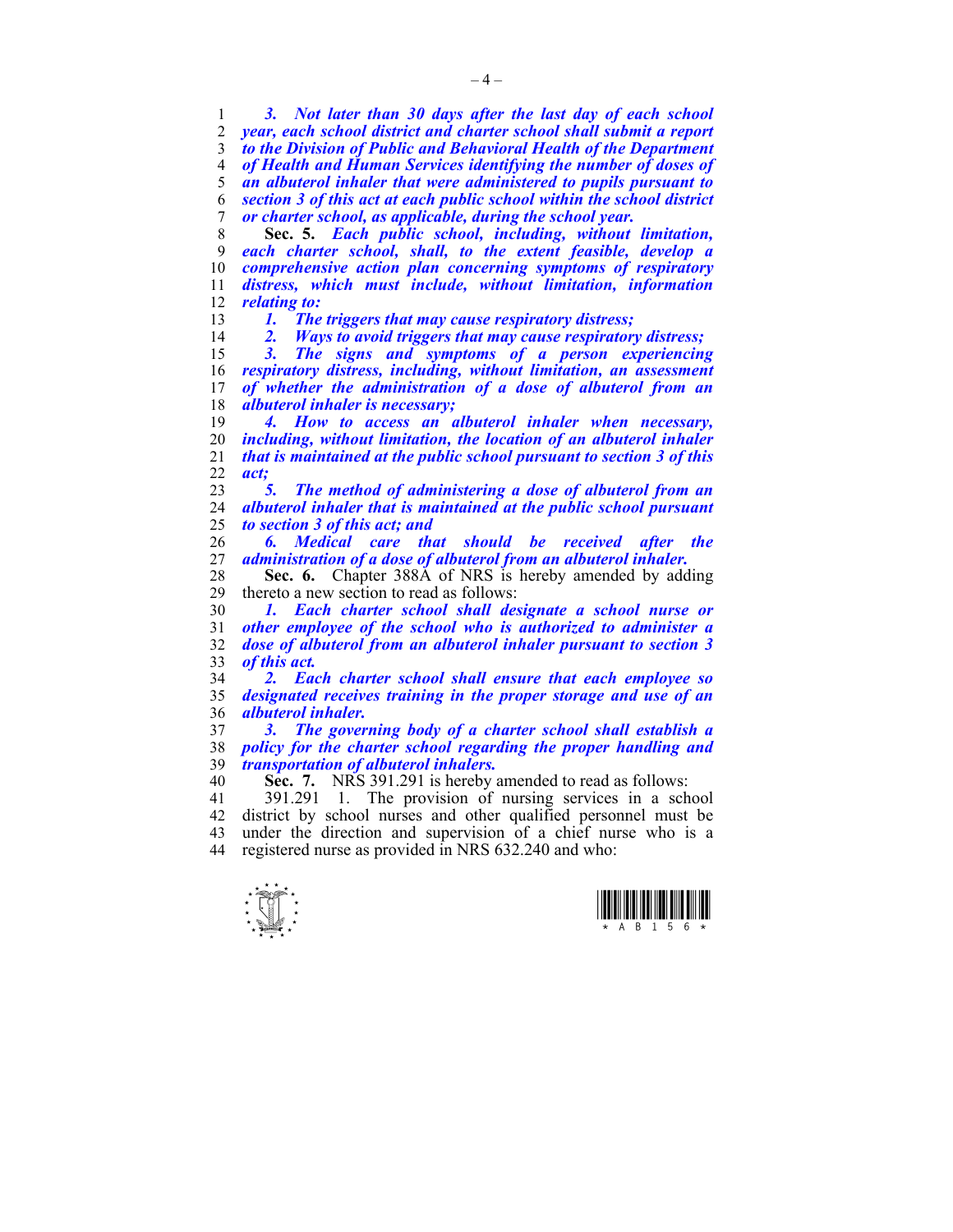*3. Not later than 30 days after the last day of each school year, each school district and charter school shall submit a report to the Division of Public and Behavioral Health of the Department of Health and Human Services identifying the number of doses of an albuterol inhaler that were administered to pupils pursuant to section 3 of this act at each public school within the school district or charter school, as applicable, during the school year.* 

**Sec. 5.** *Each public school, including, without limitation, each charter school, shall, to the extent feasible, develop a comprehensive action plan concerning symptoms of respiratory distress, which must include, without limitation, information relating to:* 

*1. The triggers that may cause respiratory distress;* 

*2. Ways to avoid triggers that may cause respiratory distress;* 

*3. The signs and symptoms of a person experiencing respiratory distress, including, without limitation, an assessment of whether the administration of a dose of albuterol from an albuterol inhaler is necessary;* 

*4. How to access an albuterol inhaler when necessary, including, without limitation, the location of an albuterol inhaler that is maintained at the public school pursuant to section 3 of this act;* 

*5. The method of administering a dose of albuterol from an albuterol inhaler that is maintained at the public school pursuant to section 3 of this act; and* 

*6. Medical care that should be received after the administration of a dose of albuterol from an albuterol inhaler.* 

**Sec. 6.** Chapter 388Å of NRS is hereby amended by adding thereto a new section to read as follows: thereto a new section to read as follows:

*1. Each charter school shall designate a school nurse or other employee of the school who is authorized to administer a dose of albuterol from an albuterol inhaler pursuant to section 3 of this act.* 

*2. Each charter school shall ensure that each employee so designated receives training in the proper storage and use of an albuterol inhaler.* 

*3. The governing body of a charter school shall establish a policy for the charter school regarding the proper handling and transportation of albuterol inhalers.* 

**Sec. 7.** NRS 391.291 is hereby amended to read as follows:

41 391.291 1. The provision of nursing services in a school 42 district by school nurses and other qualified personnel must be 43 under the direction and supervision of a chief nurse who is a 44 registered nurse as provided in NRS 632.240 and who:



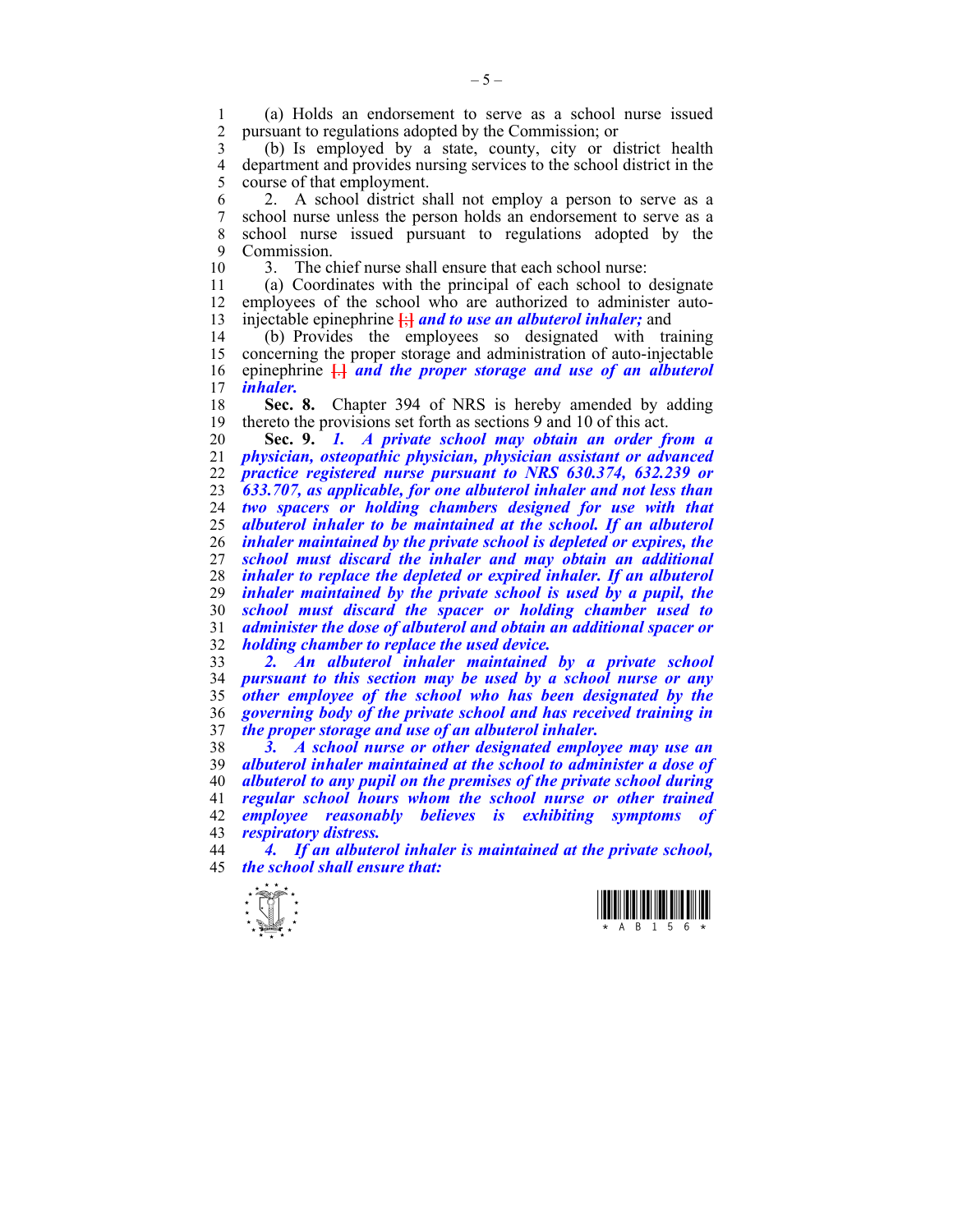1 (a) Holds an endorsement to serve as a school nurse issued 2 pursuant to regulations adopted by the Commission; or

3 (b) Is employed by a state, county, city or district health 4 department and provides nursing services to the school district in the square of that employment. course of that employment.

6 2. A school district shall not employ a person to serve as a 7 school nurse unless the person holds an endorsement to serve as a 8 school nurse issued pursuant to regulations adopted by the 9 Commission.

10 3. The chief nurse shall ensure that each school nurse:

11 (a) Coordinates with the principal of each school to designate 12 employees of the school who are authorized to administer auto-13 injectable epinephrine **[**;**]** *and to use an albuterol inhaler;* and

14 (b) Provides the employees so designated with training 15 concerning the proper storage and administration of auto-injectable 16 epinephrine **[**.**]** *and the proper storage and use of an albuterol inhaler.* 

18 **Sec. 8.** Chapter 394 of NRS is hereby amended by adding 19 thereto the provisions set forth as sections 9 and 10 of this act.

**Sec. 9.** *1. A private school may obtain an order from a physician, osteopathic physician, physician assistant or advanced practice registered nurse pursuant to NRS 630.374, 632.239 or 633.707, as applicable, for one albuterol inhaler and not less than two spacers or holding chambers designed for use with that albuterol inhaler to be maintained at the school. If an albuterol inhaler maintained by the private school is depleted or expires, the school must discard the inhaler and may obtain an additional inhaler to replace the depleted or expired inhaler. If an albuterol inhaler maintained by the private school is used by a pupil, the school must discard the spacer or holding chamber used to administer the dose of albuterol and obtain an additional spacer or holding chamber to replace the used device.* 

*2. An albuterol inhaler maintained by a private school pursuant to this section may be used by a school nurse or any other employee of the school who has been designated by the governing body of the private school and has received training in the proper storage and use of an albuterol inhaler.* 

*3. A school nurse or other designated employee may use an albuterol inhaler maintained at the school to administer a dose of albuterol to any pupil on the premises of the private school during regular school hours whom the school nurse or other trained employee reasonably believes is exhibiting symptoms of respiratory distress.* 

44 *4. If an albuterol inhaler is maintained at the private school,*  45 *the school shall ensure that:* 



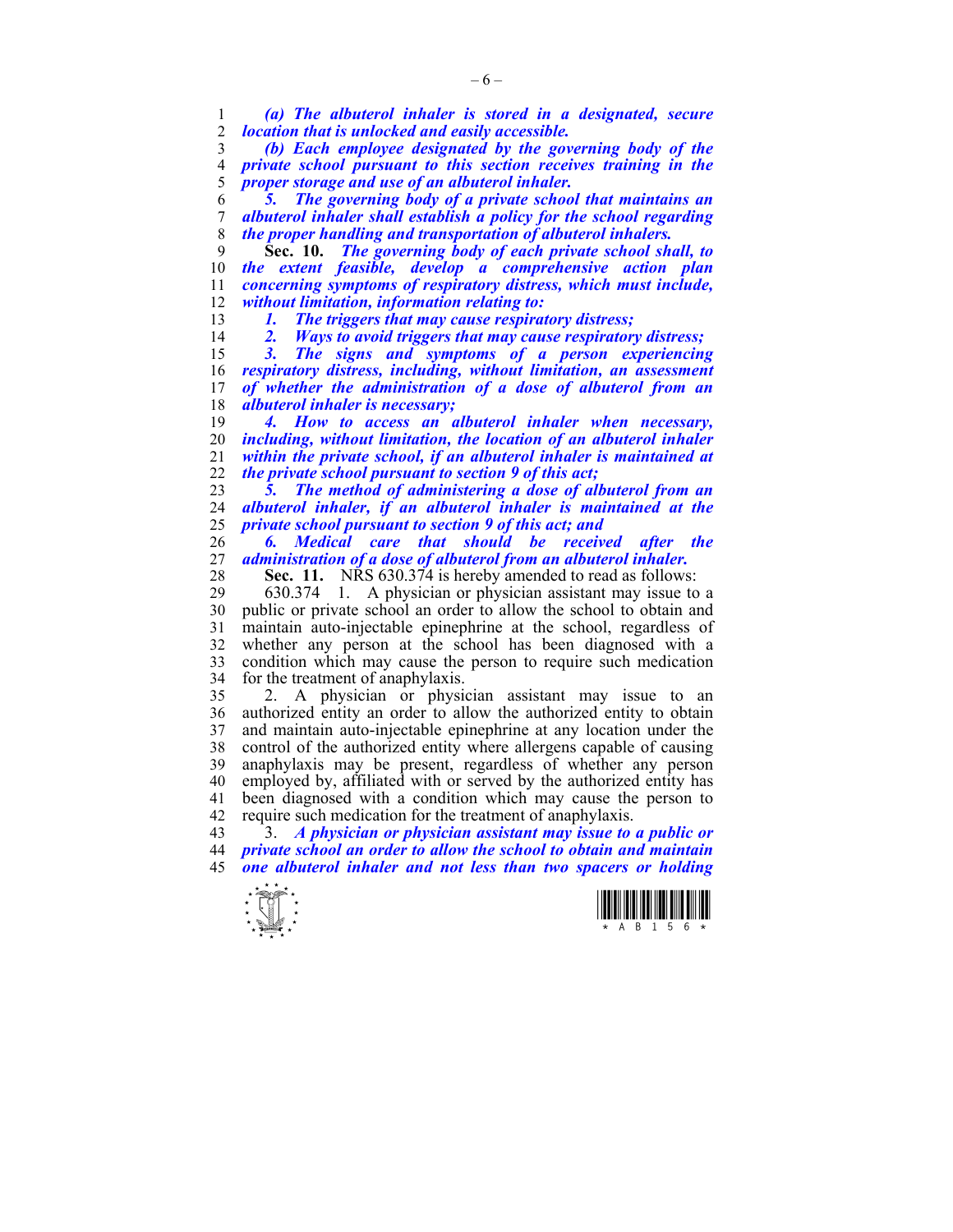*(a) The albuterol inhaler is stored in a designated, secure location that is unlocked and easily accessible.* 

*(b) Each employee designated by the governing body of the private school pursuant to this section receives training in the proper storage and use of an albuterol inhaler.* 

*5. The governing body of a private school that maintains an albuterol inhaler shall establish a policy for the school regarding the proper handling and transportation of albuterol inhalers.* 

**Sec. 10.** *The governing body of each private school shall, to the extent feasible, develop a comprehensive action plan concerning symptoms of respiratory distress, which must include, without limitation, information relating to:* 

*1. The triggers that may cause respiratory distress;* 

*2. Ways to avoid triggers that may cause respiratory distress;* 

*3. The signs and symptoms of a person experiencing respiratory distress, including, without limitation, an assessment of whether the administration of a dose of albuterol from an albuterol inhaler is necessary;* 

*4. How to access an albuterol inhaler when necessary, including, without limitation, the location of an albuterol inhaler within the private school, if an albuterol inhaler is maintained at the private school pursuant to section 9 of this act;* 

*5. The method of administering a dose of albuterol from an albuterol inhaler, if an albuterol inhaler is maintained at the private school pursuant to section 9 of this act; and* 

*6. Medical care that should be received after the administration of a dose of albuterol from an albuterol inhaler.* 

**Sec. 11.** NRS 630.374 is hereby amended to read as follows:

29 630.374 1. A physician or physician assistant may issue to a 30 public or private school an order to allow the school to obtain and 31 maintain auto-injectable epinephrine at the school, regardless of 32 whether any person at the school has been diagnosed with a 33 condition which may cause the person to require such medication 34 for the treatment of anaphylaxis.

35 2. A physician or physician assistant may issue to an 36 authorized entity an order to allow the authorized entity to obtain 37 and maintain auto-injectable epinephrine at any location under the 38 control of the authorized entity where allergens capable of causing 39 anaphylaxis may be present, regardless of whether any person 40 employed by, affiliated with or served by the authorized entity has 41 been diagnosed with a condition which may cause the person to 42 require such medication for the treatment of anaphylaxis.

43 3. *A physician or physician assistant may issue to a public or private school an order to allow the school to obtain and maintain one albuterol inhaler and not less than two spacers or holding* 



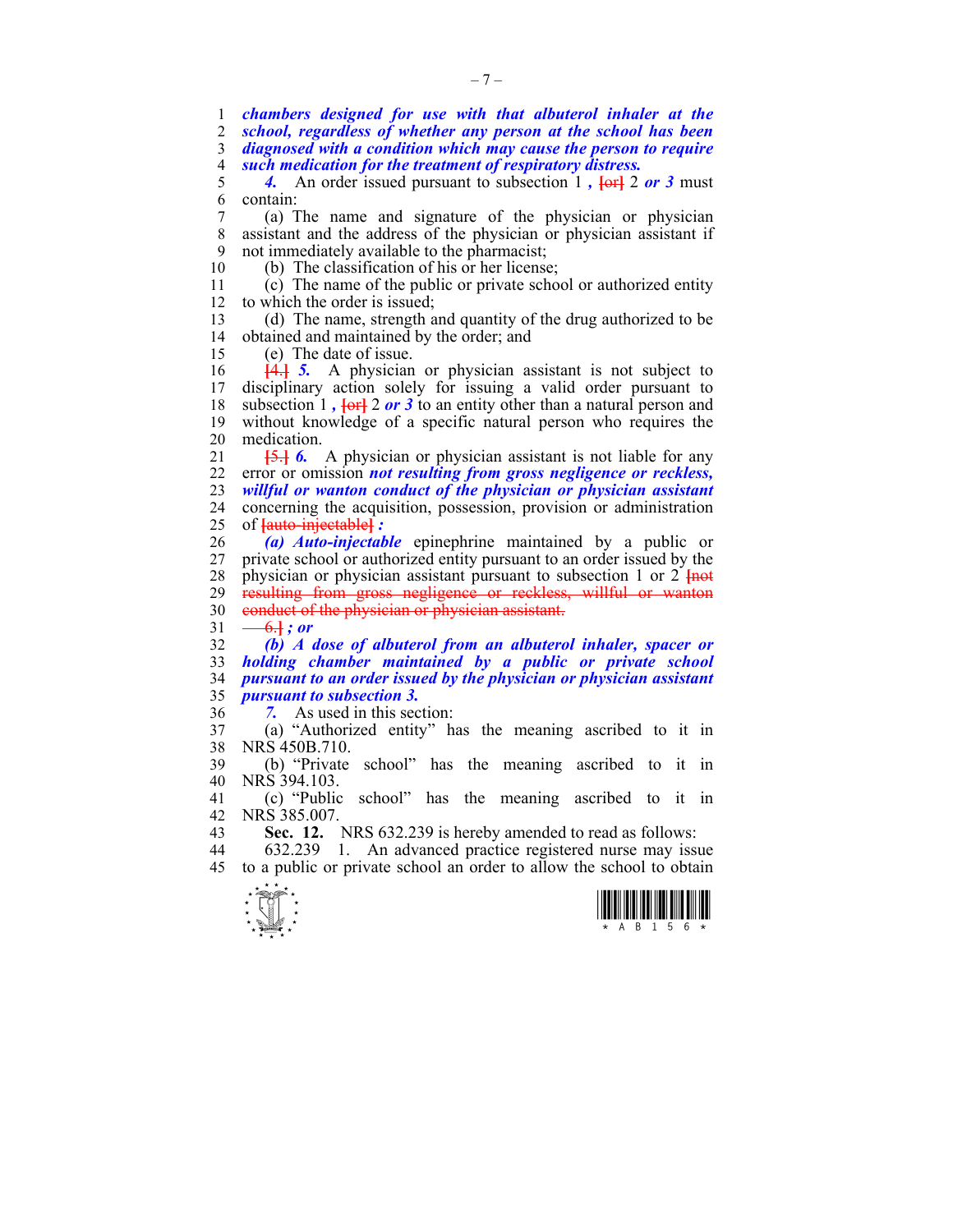*chambers designed for use with that albuterol inhaler at the school, regardless of whether any person at the school has been diagnosed with a condition which may cause the person to require such medication for the treatment of respiratory distress.*<br>5 4. An order issued pursuant to subsection 1, lord 2

4. An order issued pursuant to subsection 1,  $\left\{\text{or} 1, \text{or} 2, \text{or} 3, \text{or} 4, \text{or} 5, \text{or} 6, \text{or} 7, \text{or} 7, \text{or} 7, \text{or} 7, \text{or} 7, \text{or} 7, \text{or} 7, \text{or} 7, \text{or} 7, \text{or} 7, \text{or} 7, \text{or} 7, \text{or} 7, \text{or} 7, \text{or} 7, \text{or}$ 6 contain:

7 (a) The name and signature of the physician or physician 8 assistant and the address of the physician or physician assistant if 9 not immediately available to the pharmacist;

10 (b) The classification of his or her license; 11 (c) The name of the public or private school or authorized entity

12 to which the order is issued;

13 (d) The name, strength and quantity of the drug authorized to be 14 obtained and maintained by the order; and

15 (e) The date of issue.

 $16$  **[4.**] **5.** A physician or physician assistant is not subject to 17 disciplinary action solely for issuing a valid order pursuant to disciplinary action solely for issuing a valid order pursuant to 18 subsection 1 *,* **[**or**]** 2 *or 3* to an entity other than a natural person and 19 without knowledge of a specific natural person who requires the 20 medication.

21 **[**5.**]** *6.* A physician or physician assistant is not liable for any 22 error or omission *not resulting from gross negligence or reckless,*  23 *willful or wanton conduct of the physician or physician assistant*  24 concerning the acquisition, possession, provision or administration 25 of **[**auto-injectable**]** *:*

26 *(a) Auto-injectable* epinephrine maintained by a public or 27 private school or authorized entity pursuant to an order issued by the 28 physician or physician assistant pursuant to subsection 1 or 2 **{not**}<br>29 **resulting from gross negligence or reckless, willful or wanton** resulting from gross negligence or reckless, willful or wanton 30 conduct of the physician or physician assistant.

 $31 -6.1$  *; or* 

*(b) A dose of albuterol from an albuterol inhaler, spacer or holding chamber maintained by a public or private school pursuant to an order issued by the physician or physician assistant pursuant to subsection 3.* 

36 *7.* As used in this section:

37 (a) "Authorized entity" has the meaning ascribed to it in 38 NRS 450B.710.

39 (b) "Private school" has the meaning ascribed to it in 40 NRS 394.103.

41 (c) "Public school" has the meaning ascribed to it in 42 NRS 385.007.<br>43 **Sec. 12.** 

**Sec. 12.** NRS 632.239 is hereby amended to read as follows:

44 632.239 1. An advanced practice registered nurse may issue 45 to a public or private school an order to allow the school to obtain



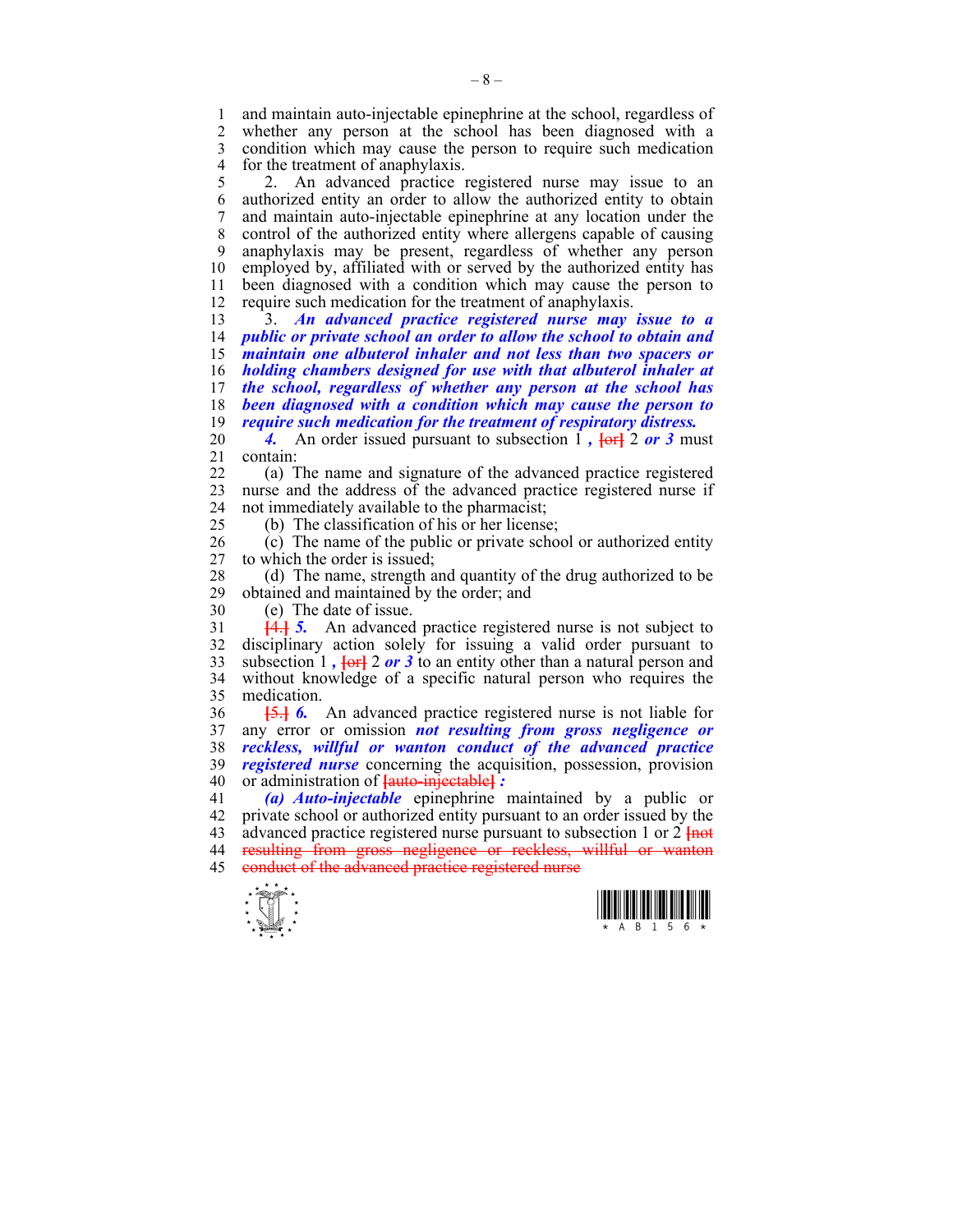1 and maintain auto-injectable epinephrine at the school, regardless of 2 whether any person at the school has been diagnosed with a whether any person at the school has been diagnosed with a 3 condition which may cause the person to require such medication 4 for the treatment of anaphylaxis.<br>5 2. An advanced practice

5 2. An advanced practice registered nurse may issue to an 6 authorized entity an order to allow the authorized entity to obtain 7 and maintain auto-injectable epinephrine at any location under the 8 control of the authorized entity where allergens capable of causing 9 anaphylaxis may be present, regardless of whether any person 10 employed by, affiliated with or served by the authorized entity has 11 been diagnosed with a condition which may cause the person to 12 require such medication for the treatment of anaphylaxis.

13 3. *An advanced practice registered nurse may issue to a public or private school an order to allow the school to obtain and maintain one albuterol inhaler and not less than two spacers or holding chambers designed for use with that albuterol inhaler at the school, regardless of whether any person at the school has been diagnosed with a condition which may cause the person to require such medication for the treatment of respiratory distress.* 

20 **4.** An order issued pursuant to subsection 1,  $\left\{\text{or} 1, \text{or} 2, \text{or} 3, \text{or} 4\right\}$ 21 contain:

22 (a) The name and signature of the advanced practice registered 23 nurse and the address of the advanced practice registered nurse if 24 not immediately available to the pharmacist;

25 (b) The classification of his or her license;

26 (c) The name of the public or private school or authorized entity 27 to which the order is issued;

28 (d) The name, strength and quantity of the drug authorized to be obtained and maintained by the order: and obtained and maintained by the order; and

30 (e) The date of issue.

31 **[**4.**]** *5.* An advanced practice registered nurse is not subject to 32 disciplinary action solely for issuing a valid order pursuant to 33 subsection 1 *,* **[**or**]** 2 *or 3* to an entity other than a natural person and 34 without knowledge of a specific natural person who requires the 35 medication.

36 **[**5.**]** *6.* An advanced practice registered nurse is not liable for 37 any error or omission *not resulting from gross negligence or*  38 *reckless, willful or wanton conduct of the advanced practice*  39 *registered nurse* concerning the acquisition, possession, provision 40 or administration of **[**auto-injectable**]** *:* 

41 *(a) Auto-injectable* epinephrine maintained by a public or 42 private school or authorized entity pursuant to an order issued by the 43 advanced practice registered nurse pursuant to subsection 1 or 2 **[**not 44 resulting from gross negligence or reckless, willful or wanton 45 conduct of the advanced practice registered nurse



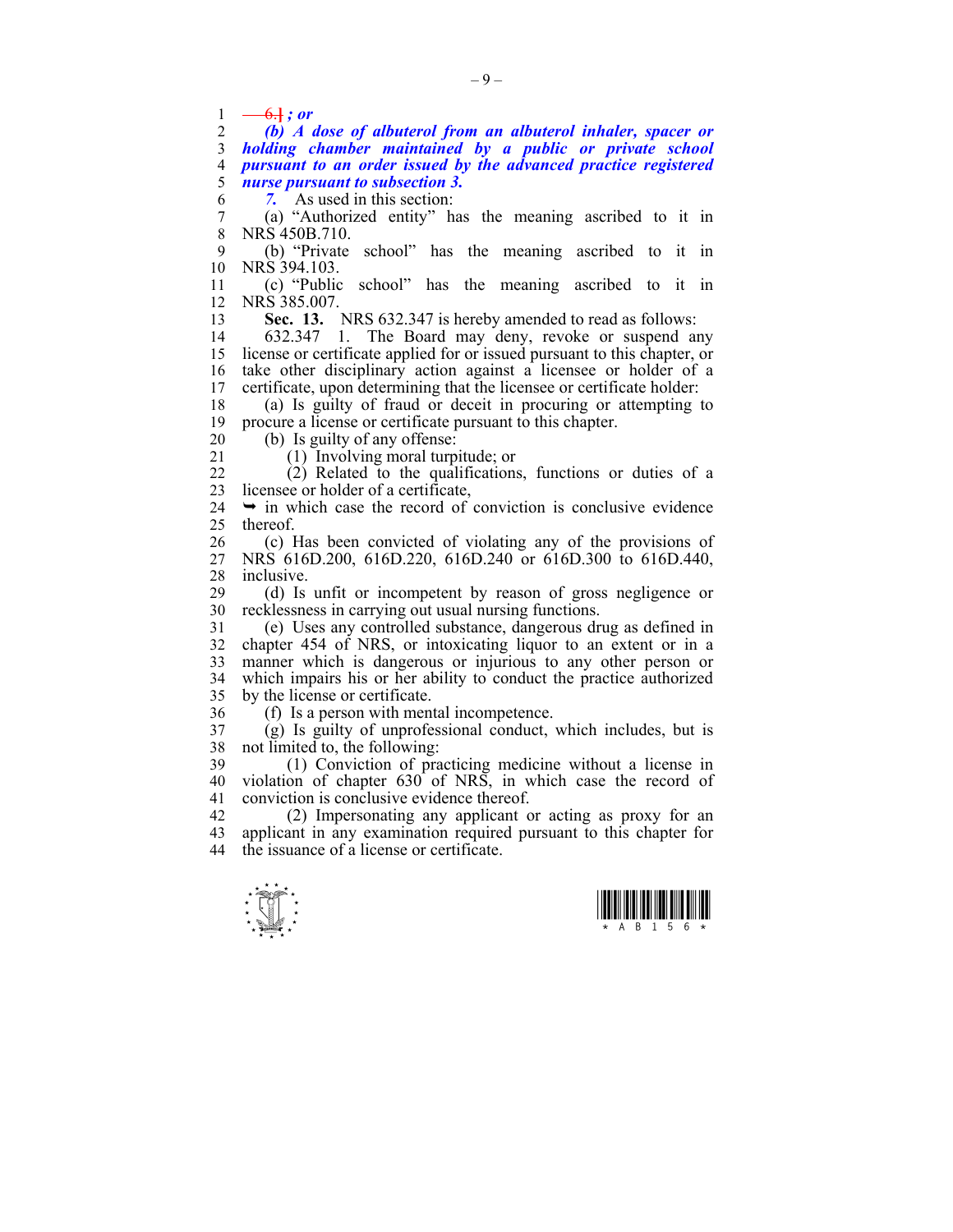$\frac{1}{2}$   $\frac{-6.1}{(h)}$ ; or

*(b) A dose of albuterol from an albuterol inhaler, spacer or holding chamber maintained by a public or private school pursuant to an order issued by the advanced practice registered nurse pursuant to subsection 3.* 

6 *7.* As used in this section:

7 (a) "Authorized entity" has the meaning ascribed to it in 8 NRS 450B.710.

9 (b) "Private school" has the meaning ascribed to it in 10 NRS 394.103.

11 (c) "Public school" has the meaning ascribed to it in 12 NRS 385.007.

13 **Sec. 13.** NRS 632.347 is hereby amended to read as follows:

14 632.347 1. The Board may deny, revoke or suspend any 15 license or certificate applied for or issued pursuant to this chapter, or 16 take other disciplinary action against a licensee or holder of a 17 certificate, upon determining that the licensee or certificate holder:

18 (a) Is guilty of fraud or deceit in procuring or attempting to 19 procure a license or certificate pursuant to this chapter.

20 (b) Is guilty of any offense:

21 (1) Involving moral turpitude; or

22 (2) Related to the qualifications, functions or duties of a 23 licensee or holder of a certificate,

 $24 \rightarrow \text{in which case the record of convection is conclusive evidence}$ 25 thereof.

26 (c) Has been convicted of violating any of the provisions of 27 NRS 616D.200, 616D.220, 616D.240 or 616D.300 to 616D.440, 28 inclusive.

29 (d) Is unfit or incompetent by reason of gross negligence or 30 recklessness in carrying out usual nursing functions.

31 (e) Uses any controlled substance, dangerous drug as defined in 32 chapter 454 of NRS, or intoxicating liquor to an extent or in a 33 manner which is dangerous or injurious to any other person or 34 which impairs his or her ability to conduct the practice authorized 35 by the license or certificate.

36 (f) Is a person with mental incompetence.

37 (g) Is guilty of unprofessional conduct, which includes, but is 38 not limited to, the following:

39 (1) Conviction of practicing medicine without a license in 40 violation of chapter 630 of NRS, in which case the record of 41 conviction is conclusive evidence thereof.

42 (2) Impersonating any applicant or acting as proxy for an 43 applicant in any examination required pursuant to this chapter for 44 the issuance of a license or certificate.



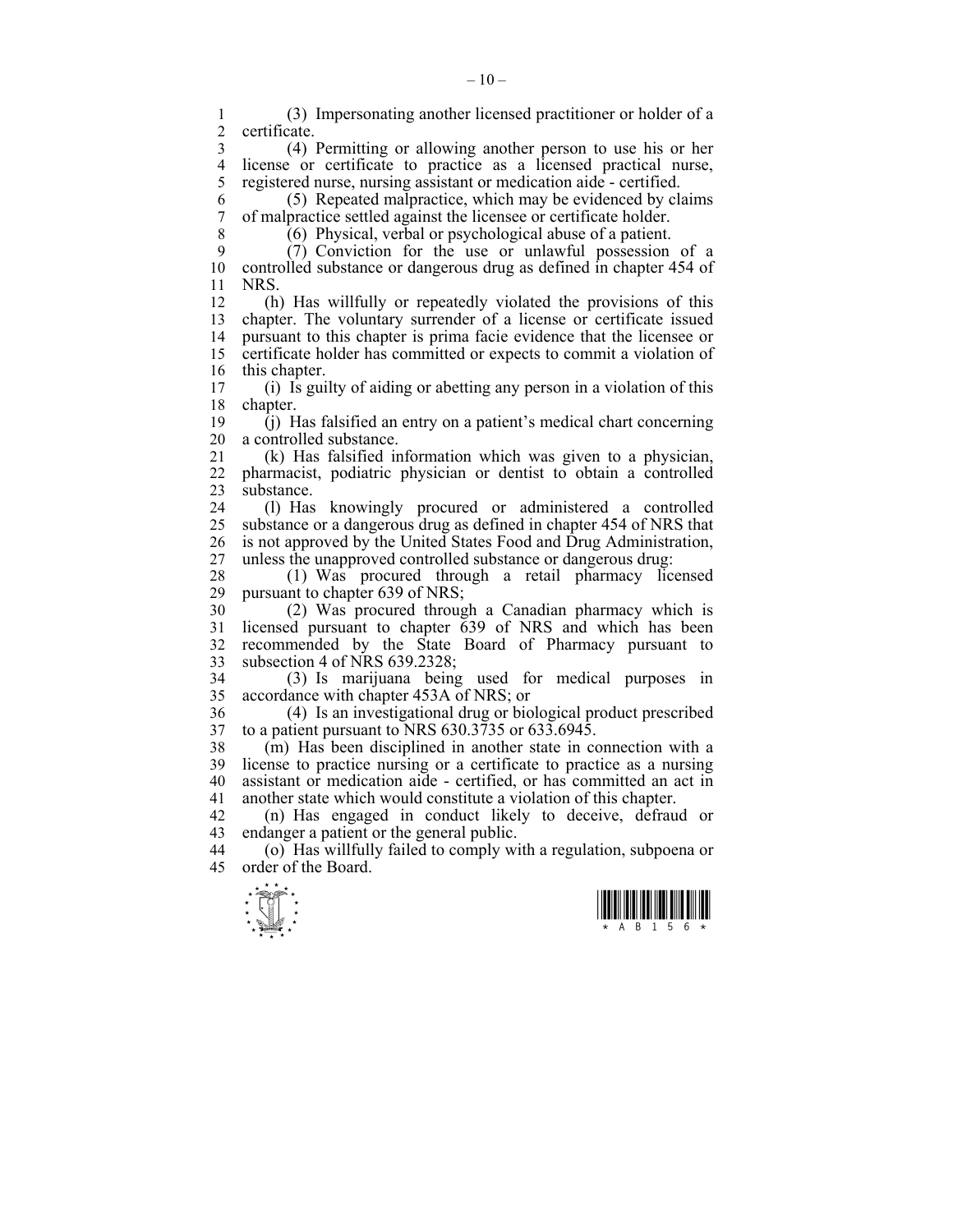$\frac{1}{\sqrt{2}}$ 1 (3) Impersonating another licensed practitioner or holder of a certificate. 3 (4) Permitting or allowing another person to use his or her 4 license or certificate to practice as a licensed practical nurse,<br>5 registered nurse, nursing assistant or medication aide - certified. 5 registered nurse, nursing assistant or medication aide - certified. 6 (5) Repeated malpractice, which may be evidenced by claims 7 of malpractice settled against the licensee or certificate holder. 8 (6) Physical, verbal or psychological abuse of a patient. 9 (7) Conviction for the use or unlawful possession of a 10 controlled substance or dangerous drug as defined in chapter 454 of 11 NRS. 12 (h) Has willfully or repeatedly violated the provisions of this 13 chapter. The voluntary surrender of a license or certificate issued 14 pursuant to this chapter is prima facie evidence that the licensee or 15 certificate holder has committed or expects to commit a violation of 16 this chapter. 17 (i) Is guilty of aiding or abetting any person in a violation of this 18 chapter. 19 (j) Has falsified an entry on a patient's medical chart concerning 20 a controlled substance. 21 (k) Has falsified information which was given to a physician, 22 pharmacist, podiatric physician or dentist to obtain a controlled 23 substance. 24 (l) Has knowingly procured or administered a controlled 25 substance or a dangerous drug as defined in chapter 454 of NRS that 26 is not approved by the United States Food and Drug Administration, 27 unless the unapproved controlled substance or dangerous drug: 28 (1) Was procured through a retail pharmacy licensed 29 pursuant to chapter 639 of NRS; 30 (2) Was procured through a Canadian pharmacy which is 31 licensed pursuant to chapter 639 of NRS and which has been 32 recommended by the State Board of Pharmacy pursuant to 33 subsection 4 of NRS 639.2328; 34 (3) Is marijuana being used for medical purposes in 35 accordance with chapter 453A of NRS; or 36 (4) Is an investigational drug or biological product prescribed 37 to a patient pursuant to NRS 630.3735 or 633.6945. 38 (m) Has been disciplined in another state in connection with a 39 license to practice nursing or a certificate to practice as a nursing 40 assistant or medication aide - certified, or has committed an act in 41 another state which would constitute a violation of this chapter. 42 (n) Has engaged in conduct likely to deceive, defraud or 43 endanger a patient or the general public. 44 (o) Has willfully failed to comply with a regulation, subpoena or 45 order of the Board.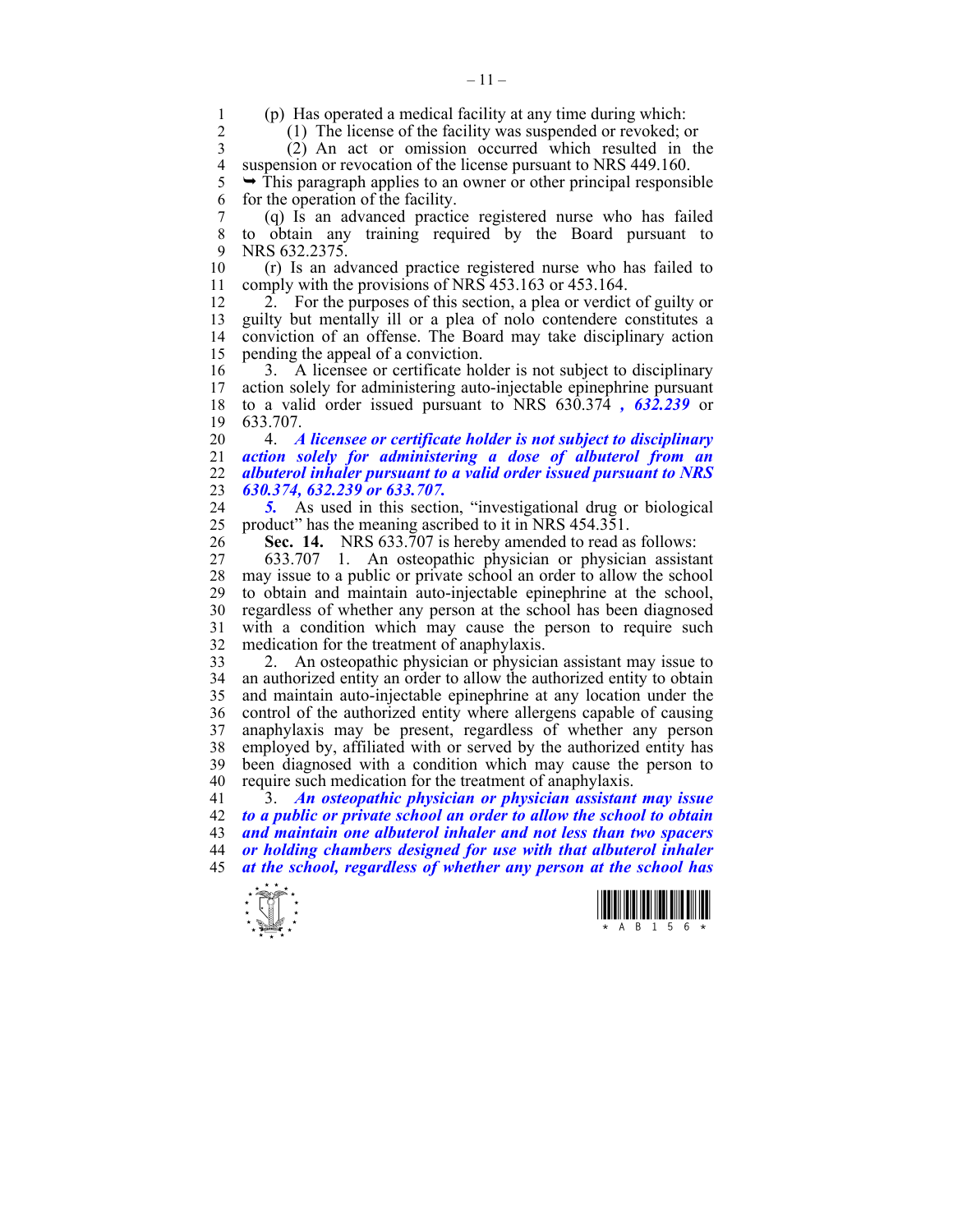1 (p) Has operated a medical facility at any time during which:<br>2 (1) The license of the facility was suspended or revoked:

2 (1) The license of the facility was suspended or revoked; or

3 (2) An act or omission occurred which resulted in the 4 suspension or revocation of the license pursuant to NRS 449.160.<br>5  $\rightarrow$  This paragraph applies to an owner or other principal responsi

 $\rightarrow$  This paragraph applies to an owner or other principal responsible 6 for the operation of the facility.

7 (q) Is an advanced practice registered nurse who has failed 8 to obtain any training required by the Board pursuant to 9 NRS 632.2375.

10 (r) Is an advanced practice registered nurse who has failed to 11 comply with the provisions of NRS 453.163 or 453.164.

12 2. For the purposes of this section, a plea or verdict of guilty or 13 guilty but mentally ill or a plea of nolo contendere constitutes a 14 conviction of an offense. The Board may take disciplinary action 15 pending the appeal of a conviction.

16 3. A licensee or certificate holder is not subject to disciplinary<br>17 action solely for administering auto-injectable epinephrine pursuant action solely for administering auto-injectable epinephrine pursuant 18 to a valid order issued pursuant to NRS 630.374 *, 632.239* or 19 633.707.

20 4. *A licensee or certificate holder is not subject to disciplinary action solely for administering a dose of albuterol from an albuterol inhaler pursuant to a valid order issued pursuant to NRS 630.374, 632.239 or 633.707.* 

24 *5.* As used in this section, "investigational drug or biological 25 product" has the meaning ascribed to it in NRS 454.351.

26 **Sec. 14.** NRS 633.707 is hereby amended to read as follows:

27 633.707 1. An osteopathic physician or physician assistant 28 may issue to a public or private school an order to allow the school 29 to obtain and maintain auto-injectable epinephrine at the school, 30 regardless of whether any person at the school has been diagnosed 31 with a condition which may cause the person to require such 32 medication for the treatment of anaphylaxis.

33 2. An osteopathic physician or physician assistant may issue to 34 an authorized entity an order to allow the authorized entity to obtain 35 and maintain auto-injectable epinephrine at any location under the 36 control of the authorized entity where allergens capable of causing 37 anaphylaxis may be present, regardless of whether any person 38 employed by, affiliated with or served by the authorized entity has 39 been diagnosed with a condition which may cause the person to 40 require such medication for the treatment of anaphylaxis.

41 3. *An osteopathic physician or physician assistant may issue to a public or private school an order to allow the school to obtain and maintain one albuterol inhaler and not less than two spacers or holding chambers designed for use with that albuterol inhaler at the school, regardless of whether any person at the school has* 



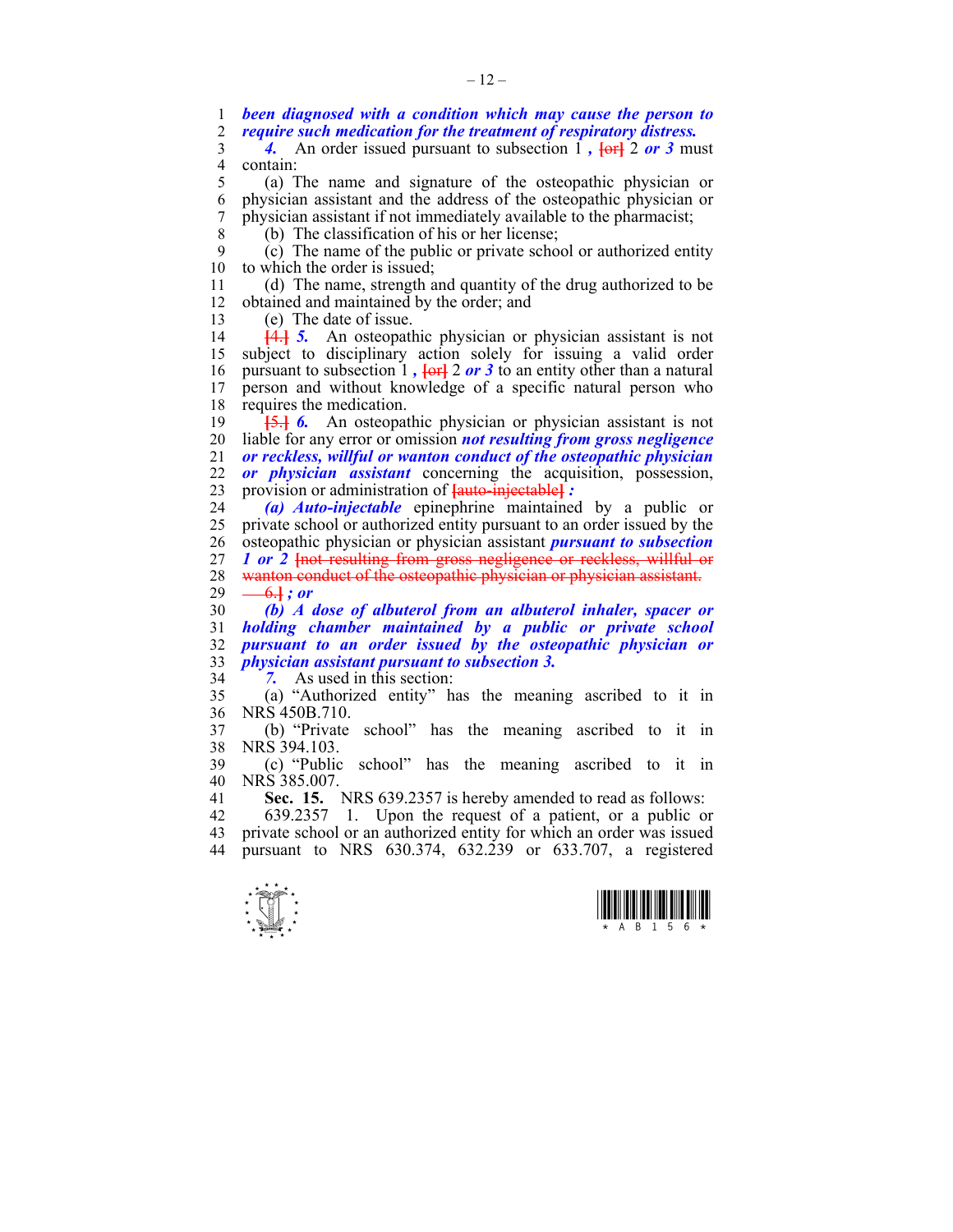1 *been diagnosed with a condition which may cause the person to*  2 *require such medication for the treatment of respiratory distress.* 

3 4. An order issued pursuant to subsection 1,  $\overline{$  **[or** 2 *or* 3 must 4 contain:<br> $\frac{4}{5}$  (a) T

5 (a) The name and signature of the osteopathic physician or 6 physician assistant and the address of the osteopathic physician or 7 physician assistant if not immediately available to the pharmacist;

8 (b) The classification of his or her license;

9 (c) The name of the public or private school or authorized entity 10 to which the order is issued;

11 (d) The name, strength and quantity of the drug authorized to be 12 obtained and maintained by the order; and

13 (e) The date of issue.

14 **[**4.**]** *5.* An osteopathic physician or physician assistant is not 15 subject to disciplinary action solely for issuing a valid order 16 pursuant to subsection 1 *,* **[**or**]** 2 *or 3* to an entity other than a natural 17 person and without knowledge of a specific natural person who 18 requires the medication.

19 **[**5.**]** *6.* An osteopathic physician or physician assistant is not 20 liable for any error or omission *not resulting from gross negligence*  21 *or reckless, willful or wanton conduct of the osteopathic physician*  22 *or physician assistant* concerning the acquisition, possession, 23 provision or administration of **[**auto-injectable**]** *:* 

24 *(a) Auto-injectable* epinephrine maintained by a public or 25 private school or authorized entity pursuant to an order issued by the 26 osteopathic physician or physician assistant *pursuant to subsection*  27 *1 or* 2 <del>[not resulting from gross negligence or reckless, willful or</del> 28 wanton conduct of the osteopathic physician or physician assistant.

29  $-6.$ **}** *; or* 

*(b) A dose of albuterol from an albuterol inhaler, spacer or holding chamber maintained by a public or private school pursuant to an order issued by the osteopathic physician or physician assistant pursuant to subsection 3.* 

34 *7.* As used in this section:

35 (a) "Authorized entity" has the meaning ascribed to it in 36 NRS 450B.710.

37 (b) "Private school" has the meaning ascribed to it in 38 NRS 394.103.

39 (c) "Public school" has the meaning ascribed to it in 40 NRS 385.007.

41 **Sec. 15.** NRS 639.2357 is hereby amended to read as follows:

42 639.2357 1. Upon the request of a patient, or a public or 43 private school or an authorized entity for which an order was issued 44 pursuant to NRS 630.374, 632.239 or 633.707, a registered